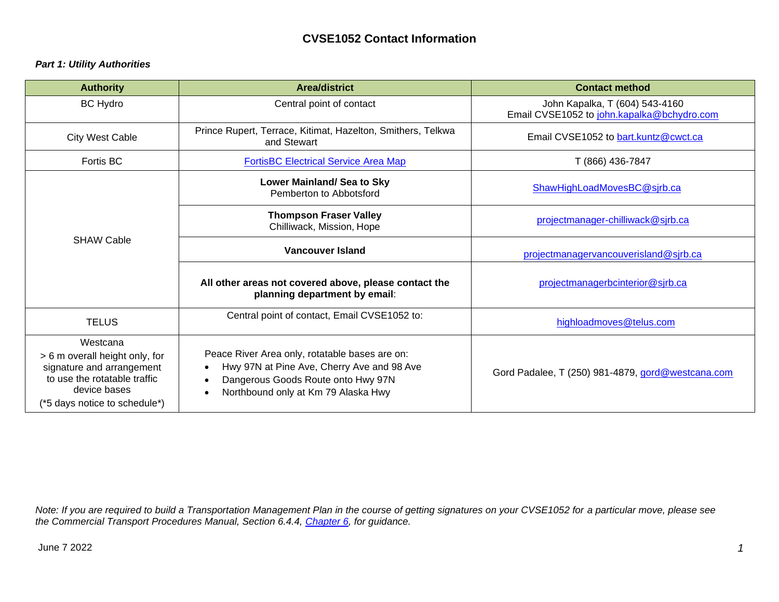## **CVSE1052 Contact Information**

## *Part 1: Utility Authorities*

| <b>Authority</b>                                                                                                                                                                                                                                                                                                                      | <b>Area/district</b>                                                                   | <b>Contact method</b>                                                        |  |  |
|---------------------------------------------------------------------------------------------------------------------------------------------------------------------------------------------------------------------------------------------------------------------------------------------------------------------------------------|----------------------------------------------------------------------------------------|------------------------------------------------------------------------------|--|--|
| <b>BC Hydro</b>                                                                                                                                                                                                                                                                                                                       | Central point of contact                                                               | John Kapalka, T (604) 543-4160<br>Email CVSE1052 to john.kapalka@bchydro.com |  |  |
| <b>City West Cable</b>                                                                                                                                                                                                                                                                                                                | Prince Rupert, Terrace, Kitimat, Hazelton, Smithers, Telkwa<br>and Stewart             | Email CVSE1052 to bart.kuntz@cwct.ca                                         |  |  |
| Fortis BC                                                                                                                                                                                                                                                                                                                             | <b>FortisBC Electrical Service Area Map</b>                                            | T (866) 436-7847                                                             |  |  |
| <b>SHAW Cable</b>                                                                                                                                                                                                                                                                                                                     | Lower Mainland/ Sea to Sky<br>Pemberton to Abbotsford                                  | ShawHighLoadMovesBC@sjrb.ca                                                  |  |  |
|                                                                                                                                                                                                                                                                                                                                       | <b>Thompson Fraser Valley</b><br>Chilliwack, Mission, Hope                             | projectmanager-chilliwack@sjrb.ca                                            |  |  |
|                                                                                                                                                                                                                                                                                                                                       | <b>Vancouver Island</b><br>projectmanagervancouverisland@sjrb.ca                       |                                                                              |  |  |
|                                                                                                                                                                                                                                                                                                                                       | All other areas not covered above, please contact the<br>planning department by email: | projectmanagerbcinterior@sjrb.ca                                             |  |  |
| <b>TELUS</b>                                                                                                                                                                                                                                                                                                                          | Central point of contact, Email CVSE1052 to:                                           | highloadmoves@telus.com                                                      |  |  |
| Westcana<br>Peace River Area only, rotatable bases are on:<br>> 6 m overall height only, for<br>Hwy 97N at Pine Ave, Cherry Ave and 98 Ave<br>signature and arrangement<br>to use the rotatable traffic<br>Dangerous Goods Route onto Hwy 97N<br>device bases<br>Northbound only at Km 79 Alaska Hwy<br>(*5 days notice to schedule*) |                                                                                        | Gord Padalee, T (250) 981-4879, gord@westcana.com                            |  |  |

*Note: If you are required to build a Transportation Management Plan in the course of getting signatures on your CVSE1052 for a particular move, please see the Commercial Transport Procedures Manual, Section 6.4.4, [Chapter 6, f](https://www2.gov.bc.ca/assets/gov/driving-and-transportation/cvse/commercial-transportation-manual/chapter-6.pdf)or guidance.*